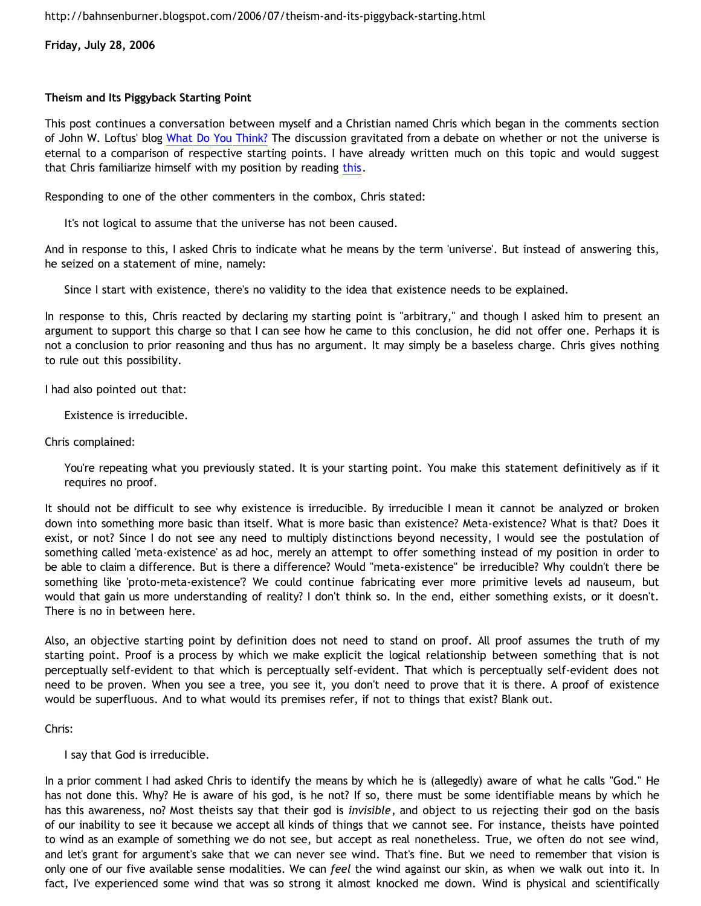**Friday, July 28, 2006**

## **Theism and Its Piggyback Starting Point**

This post continues a conversation between myself and a Christian named Chris which began in the comments section of John W. Loftus' blog [What Do You Think?](http://debunkingchristianity.blogspot.com/2006/07/what-do-you-think.html) The discussion gravitated from a debate on whether or not the universe is eternal to a comparison of respective starting points. I have already written much on this topic and would suggest that Chris familiarize himself with my position by reading [this.](http://bahnsenburner.blogspot.com/2005/10/probing-mr-manatas-poor-understanding.html)

Responding to one of the other commenters in the combox, Chris stated:

It's not logical to assume that the universe has not been caused.

And in response to this, I asked Chris to indicate what he means by the term 'universe'. But instead of answering this, he seized on a statement of mine, namely:

Since I start with existence, there's no validity to the idea that existence needs to be explained.

In response to this, Chris reacted by declaring my starting point is "arbitrary," and though I asked him to present an argument to support this charge so that I can see how he came to this conclusion, he did not offer one. Perhaps it is not a conclusion to prior reasoning and thus has no argument. It may simply be a baseless charge. Chris gives nothing to rule out this possibility.

I had also pointed out that:

Existence is irreducible.

Chris complained:

You're repeating what you previously stated. It is your starting point. You make this statement definitively as if it requires no proof.

It should not be difficult to see why existence is irreducible. By irreducible I mean it cannot be analyzed or broken down into something more basic than itself. What is more basic than existence? Meta-existence? What is that? Does it exist, or not? Since I do not see any need to multiply distinctions beyond necessity, I would see the postulation of something called 'meta-existence' as ad hoc, merely an attempt to offer something instead of my position in order to be able to claim a difference. But is there a difference? Would "meta-existence" be irreducible? Why couldn't there be something like 'proto-meta-existence'? We could continue fabricating ever more primitive levels ad nauseum, but would that gain us more understanding of reality? I don't think so. In the end, either something exists, or it doesn't. There is no in between here.

Also, an objective starting point by definition does not need to stand on proof. All proof assumes the truth of my starting point. Proof is a process by which we make explicit the logical relationship between something that is not perceptually self-evident to that which is perceptually self-evident. That which is perceptually self-evident does not need to be proven. When you see a tree, you see it, you don't need to prove that it is there. A proof of existence would be superfluous. And to what would its premises refer, if not to things that exist? Blank out.

Chris:

I say that God is irreducible.

In a prior comment I had asked Chris to identify the means by which he is (allegedly) aware of what he calls "God." He has not done this. Why? He is aware of his god, is he not? If so, there must be some identifiable means by which he has this awareness, no? Most theists say that their god is *invisible*, and object to us rejecting their god on the basis of our inability to see it because we accept all kinds of things that we cannot see. For instance, theists have pointed to wind as an example of something we do not see, but accept as real nonetheless. True, we often do not see wind, and let's grant for argument's sake that we can never see wind. That's fine. But we need to remember that vision is only one of our five available sense modalities. We can *feel* the wind against our skin, as when we walk out into it. In fact, I've experienced some wind that was so strong it almost knocked me down. Wind is physical and scientifically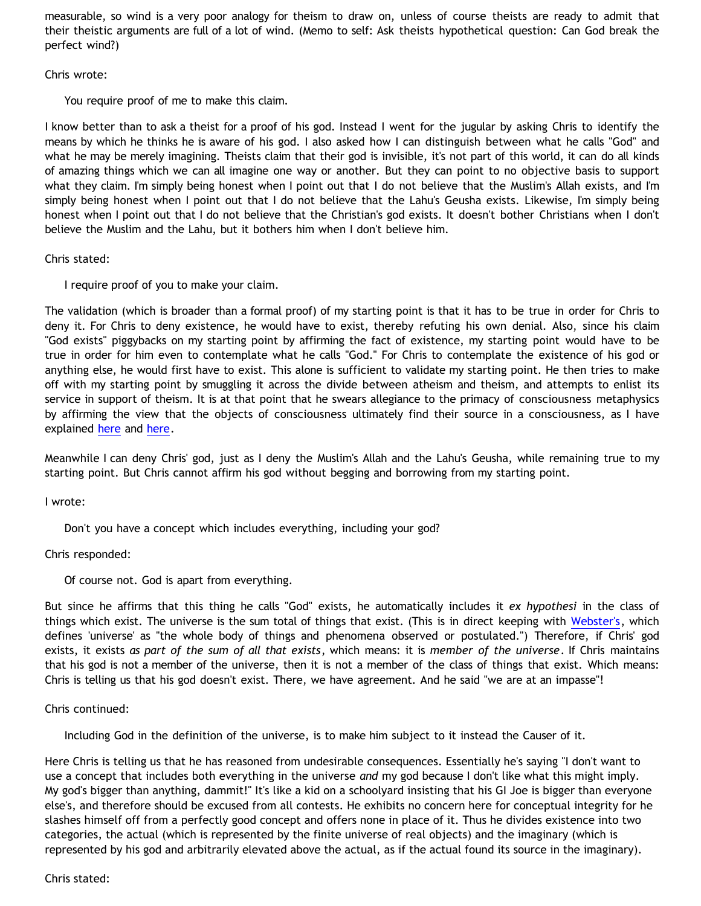measurable, so wind is a very poor analogy for theism to draw on, unless of course theists are ready to admit that their theistic arguments are full of a lot of wind. (Memo to self: Ask theists hypothetical question: Can God break the perfect wind?)

#### Chris wrote:

You require proof of me to make this claim.

I know better than to ask a theist for a proof of his god. Instead I went for the jugular by asking Chris to identify the means by which he thinks he is aware of his god. I also asked how I can distinguish between what he calls "God" and what he may be merely imagining. Theists claim that their god is invisible, it's not part of this world, it can do all kinds of amazing things which we can all imagine one way or another. But they can point to no objective basis to support what they claim. I'm simply being honest when I point out that I do not believe that the Muslim's Allah exists, and I'm simply being honest when I point out that I do not believe that the Lahu's Geusha exists. Likewise, I'm simply being honest when I point out that I do not believe that the Christian's god exists. It doesn't bother Christians when I don't believe the Muslim and the Lahu, but it bothers him when I don't believe him.

## Chris stated:

I require proof of you to make your claim.

The validation (which is broader than a formal proof) of my starting point is that it has to be true in order for Chris to deny it. For Chris to deny existence, he would have to exist, thereby refuting his own denial. Also, since his claim "God exists" piggybacks on my starting point by affirming the fact of existence, my starting point would have to be true in order for him even to contemplate what he calls "God." For Chris to contemplate the existence of his god or anything else, he would first have to exist. This alone is sufficient to validate my starting point. He then tries to make off with my starting point by smuggling it across the divide between atheism and theism, and attempts to enlist its service in support of theism. It is at that point that he swears allegiance to the primacy of consciousness metaphysics by affirming the view that the objects of consciousness ultimately find their source in a consciousness, as I have explained [here](http://bahnsenburner.blogspot.com/2006/07/metaphysical-subjectivism-and.html) and [here.](http://bahnsenburner.blogspot.com/2006/07/metaphysical-subjectivism-and_06.html)

Meanwhile I can deny Chris' god, just as I deny the Muslim's Allah and the Lahu's Geusha, while remaining true to my starting point. But Chris cannot affirm his god without begging and borrowing from my starting point.

I wrote:

Don't you have a concept which includes everything, including your god?

Chris responded:

Of course not. God is apart from everything.

But since he affirms that this thing he calls "God" exists, he automatically includes it *ex hypothesi* in the class of things which exist. The universe is the sum total of things that exist. (This is in direct keeping with [Webster's](http://www.m-w.com/dictionary/universe), which defines 'universe' as "the whole body of things and phenomena observed or postulated.") Therefore, if Chris' god exists, it exists *as part of the sum of all that exists*, which means: it is *member of the universe*. If Chris maintains that his god is not a member of the universe, then it is not a member of the class of things that exist. Which means: Chris is telling us that his god doesn't exist. There, we have agreement. And he said "we are at an impasse"!

## Chris continued:

Including God in the definition of the universe, is to make him subject to it instead the Causer of it.

Here Chris is telling us that he has reasoned from undesirable consequences. Essentially he's saying "I don't want to use a concept that includes both everything in the universe *and* my god because I don't like what this might imply. My god's bigger than anything, dammit!" It's like a kid on a schoolyard insisting that his GI Joe is bigger than everyone else's, and therefore should be excused from all contests. He exhibits no concern here for conceptual integrity for he slashes himself off from a perfectly good concept and offers none in place of it. Thus he divides existence into two categories, the actual (which is represented by the finite universe of real objects) and the imaginary (which is represented by his god and arbitrarily elevated above the actual, as if the actual found its source in the imaginary).

Chris stated: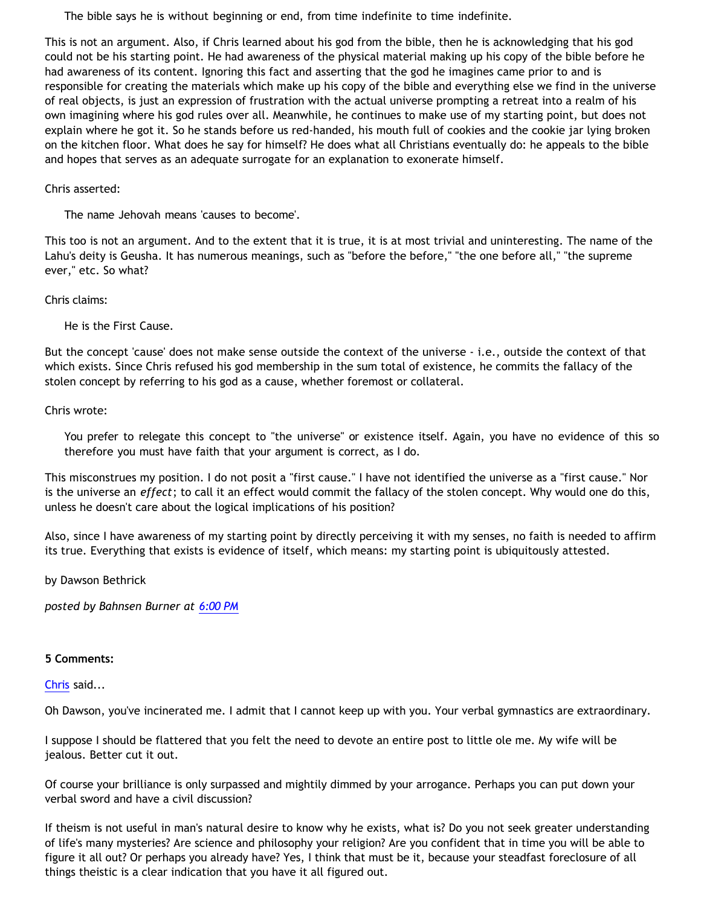The bible says he is without beginning or end, from time indefinite to time indefinite.

This is not an argument. Also, if Chris learned about his god from the bible, then he is acknowledging that his god could not be his starting point. He had awareness of the physical material making up his copy of the bible before he had awareness of its content. Ignoring this fact and asserting that the god he imagines came prior to and is responsible for creating the materials which make up his copy of the bible and everything else we find in the universe of real objects, is just an expression of frustration with the actual universe prompting a retreat into a realm of his own imagining where his god rules over all. Meanwhile, he continues to make use of my starting point, but does not explain where he got it. So he stands before us red-handed, his mouth full of cookies and the cookie jar lying broken on the kitchen floor. What does he say for himself? He does what all Christians eventually do: he appeals to the bible and hopes that serves as an adequate surrogate for an explanation to exonerate himself.

# Chris asserted:

The name Jehovah means 'causes to become'.

This too is not an argument. And to the extent that it is true, it is at most trivial and uninteresting. The name of the Lahu's deity is Geusha. It has numerous meanings, such as "before the before," "the one before all," "the supreme ever," etc. So what?

Chris claims:

He is the First Cause.

But the concept 'cause' does not make sense outside the context of the universe - i.e., outside the context of that which exists. Since Chris refused his god membership in the sum total of existence, he commits the fallacy of the stolen concept by referring to his god as a cause, whether foremost or collateral.

Chris wrote:

You prefer to relegate this concept to "the universe" or existence itself. Again, you have no evidence of this so therefore you must have faith that your argument is correct, as I do.

This misconstrues my position. I do not posit a "first cause." I have not identified the universe as a "first cause." Nor is the universe an *effect*; to call it an effect would commit the fallacy of the stolen concept. Why would one do this, unless he doesn't care about the logical implications of his position?

Also, since I have awareness of my starting point by directly perceiving it with my senses, no faith is needed to affirm its true. Everything that exists is evidence of itself, which means: my starting point is ubiquitously attested.

by Dawson Bethrick

*posted by Bahnsen Burner at [6:00 PM](http://bahnsenburner.blogspot.com/2006/07/theism-and-its-piggyback-starting.html)*

## **5 Comments:**

## [Chris](http://www.blogger.com/profile/17796086) said...

Oh Dawson, you've incinerated me. I admit that I cannot keep up with you. Your verbal gymnastics are extraordinary.

I suppose I should be flattered that you felt the need to devote an entire post to little ole me. My wife will be jealous. Better cut it out.

Of course your brilliance is only surpassed and mightily dimmed by your arrogance. Perhaps you can put down your verbal sword and have a civil discussion?

If theism is not useful in man's natural desire to know why he exists, what is? Do you not seek greater understanding of life's many mysteries? Are science and philosophy your religion? Are you confident that in time you will be able to figure it all out? Or perhaps you already have? Yes, I think that must be it, because your steadfast foreclosure of all things theistic is a clear indication that you have it all figured out.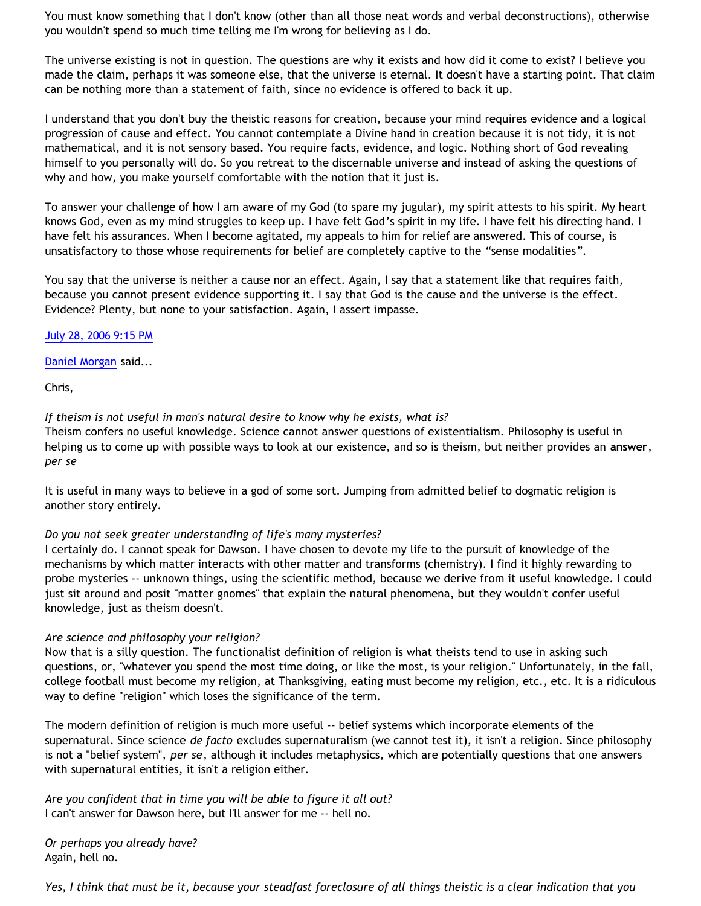You must know something that I don't know (other than all those neat words and verbal deconstructions), otherwise you wouldn't spend so much time telling me I'm wrong for believing as I do.

The universe existing is not in question. The questions are why it exists and how did it come to exist? I believe you made the claim, perhaps it was someone else, that the universe is eternal. It doesn't have a starting point. That claim can be nothing more than a statement of faith, since no evidence is offered to back it up.

I understand that you don't buy the theistic reasons for creation, because your mind requires evidence and a logical progression of cause and effect. You cannot contemplate a Divine hand in creation because it is not tidy, it is not mathematical, and it is not sensory based. You require facts, evidence, and logic. Nothing short of God revealing himself to you personally will do. So you retreat to the discernable universe and instead of asking the questions of why and how, you make yourself comfortable with the notion that it just is.

To answer your challenge of how I am aware of my God (to spare my jugular), my spirit attests to his spirit. My heart knows God, even as my mind struggles to keep up. I have felt God's spirit in my life. I have felt his directing hand. I have felt his assurances. When I become agitated, my appeals to him for relief are answered. This of course, is unsatisfactory to those whose requirements for belief are completely captive to the "sense modalities".

You say that the universe is neither a cause nor an effect. Again, I say that a statement like that requires faith, because you cannot present evidence supporting it. I say that God is the cause and the universe is the effect. Evidence? Plenty, but none to your satisfaction. Again, I assert impasse.

## [July 28, 2006 9:15 PM](http://bahnsenburner.blogspot.com/2006/07/115414650454961960)

[Daniel Morgan](http://www.blogger.com/profile/15150803) said...

Chris,

*If theism is not useful in man's natural desire to know why he exists, what is?*

Theism confers no useful knowledge. Science cannot answer questions of existentialism. Philosophy is useful in helping us to come up with possible ways to look at our existence, and so is theism, but neither provides an **answer**, *per se*

It is useful in many ways to believe in a god of some sort. Jumping from admitted belief to dogmatic religion is another story entirely.

## *Do you not seek greater understanding of life's many mysteries?*

I certainly do. I cannot speak for Dawson. I have chosen to devote my life to the pursuit of knowledge of the mechanisms by which matter interacts with other matter and transforms (chemistry). I find it highly rewarding to probe mysteries -- unknown things, using the scientific method, because we derive from it useful knowledge. I could just sit around and posit "matter gnomes" that explain the natural phenomena, but they wouldn't confer useful knowledge, just as theism doesn't.

#### *Are science and philosophy your religion?*

Now that is a silly question. The functionalist definition of religion is what theists tend to use in asking such questions, or, "whatever you spend the most time doing, or like the most, is your religion." Unfortunately, in the fall, college football must become my religion, at Thanksgiving, eating must become my religion, etc., etc. It is a ridiculous way to define "religion" which loses the significance of the term.

The modern definition of religion is much more useful -- belief systems which incorporate elements of the supernatural. Since science *de facto* excludes supernaturalism (we cannot test it), it isn't a religion. Since philosophy is not a "belief system", *per se*, although it includes metaphysics, which are potentially questions that one answers with supernatural entities, it isn't a religion either.

*Are you confident that in time you will be able to figure it all out?* I can't answer for Dawson here, but I'll answer for me -- hell no.

*Or perhaps you already have?* Again, hell no.

*Yes, I think that must be it, because your steadfast foreclosure of all things theistic is a clear indication that you*